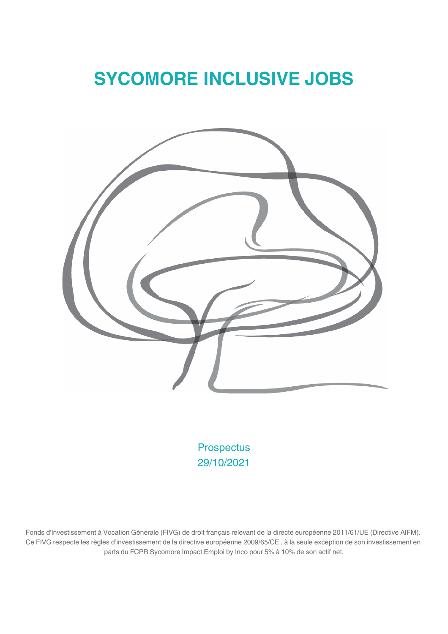# **SYCOMORE INCLUSIVE JOBS**



**Prospectus** 29/10/2021

Fonds d'Investissement à Vocation Générale (FIVG) de droit français relevant de la directe européenne 2011/61/UE (Directive AIFM). Ce FIVG respecte les règles d'investissement de la directive européenne 2009/65/CE, à la seule exception de son investissement en parts du FCPR Sycomore Impact Emploi by Inco pour 5% à 10% de son actif net.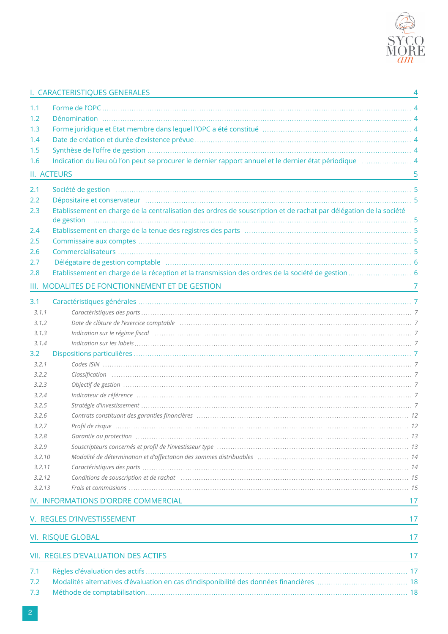

 $\overline{4}$ 

### I. CARACTERISTIQUES GENERALES

| 1.1    |                                                                                                                                                                                                                                |    |
|--------|--------------------------------------------------------------------------------------------------------------------------------------------------------------------------------------------------------------------------------|----|
| 1.2    |                                                                                                                                                                                                                                |    |
| 1.3    |                                                                                                                                                                                                                                |    |
| 1.4    |                                                                                                                                                                                                                                |    |
| 1.5    |                                                                                                                                                                                                                                |    |
| 1.6    | Indication du lieu où l'on peut se procurer le dernier rapport annuel et le dernier état périodique manument 4                                                                                                                 |    |
|        | II. ACTEURS                                                                                                                                                                                                                    | 5  |
| 2.1    |                                                                                                                                                                                                                                |    |
| 2.2    | Dépositaire et conservateur manufacture de la conservation de la conservation de la conservation de la conservateur                                                                                                            |    |
| 2.3    | Etablissement en charge de la centralisation des ordres de souscription et de rachat par délégation de la société                                                                                                              |    |
| 2.4    |                                                                                                                                                                                                                                |    |
| 2.5    |                                                                                                                                                                                                                                |    |
| 2.6    |                                                                                                                                                                                                                                |    |
| 2.7    | Délégataire de gestion comptable manufacture de la communication de la contraction de la contraction de la contraction de la contraction de la contraction de la contraction de la contraction de la contraction de la contrac |    |
| 2.8    |                                                                                                                                                                                                                                |    |
|        | III. MODALITES DE FONCTIONNEMENT ET DE GESTION                                                                                                                                                                                 |    |
| 3.1    |                                                                                                                                                                                                                                |    |
| 3.1.1  |                                                                                                                                                                                                                                |    |
| 3.1.2  |                                                                                                                                                                                                                                |    |
| 3.1.3  | Indication sur le régime fiscal membres de la membre de la membre de la membre de la membre de la membre de la                                                                                                                 |    |
| 3.1.4  |                                                                                                                                                                                                                                |    |
| 3.2    |                                                                                                                                                                                                                                |    |
| 3.2.1  |                                                                                                                                                                                                                                |    |
| 3.2.2  |                                                                                                                                                                                                                                |    |
| 3.2.3  |                                                                                                                                                                                                                                |    |
| 3.2.4  |                                                                                                                                                                                                                                |    |
| 3.2.5  |                                                                                                                                                                                                                                |    |
| 3.2.6  |                                                                                                                                                                                                                                |    |
| 3.2.7  |                                                                                                                                                                                                                                |    |
| 3.2.8  |                                                                                                                                                                                                                                |    |
| 3.2.9  |                                                                                                                                                                                                                                |    |
| 3.2.10 |                                                                                                                                                                                                                                |    |
| 3.2.11 |                                                                                                                                                                                                                                |    |
| 3.2.12 |                                                                                                                                                                                                                                |    |
| 3.2.13 |                                                                                                                                                                                                                                |    |
|        | IV. INFORMATIONS D'ORDRE COMMERCIAL                                                                                                                                                                                            | 17 |
|        |                                                                                                                                                                                                                                |    |
|        | V. REGLES D'INVESTISSEMENT                                                                                                                                                                                                     | 17 |
|        | <b>VI. RISQUE GLOBAL</b>                                                                                                                                                                                                       | 17 |
|        | <b>VII. REGLES D'EVALUATION DES ACTIFS</b><br>the control of the control of the control of the control of the control of the control of                                                                                        | 17 |
| 7.1    |                                                                                                                                                                                                                                |    |
| 7.2    |                                                                                                                                                                                                                                |    |
| 7.3    |                                                                                                                                                                                                                                |    |
|        |                                                                                                                                                                                                                                |    |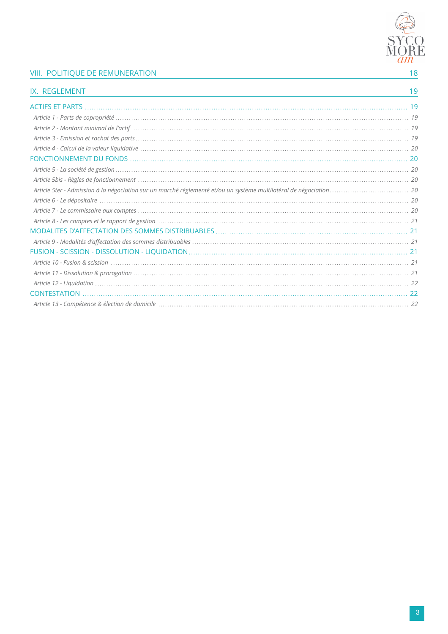

### **VIII. POLITIQUE DE REMUNERATION**

| IX. REGLEMENT | 19 |
|---------------|----|
|               |    |
|               |    |
|               |    |
|               |    |
|               |    |
|               |    |
|               |    |
|               |    |
|               |    |
|               |    |
|               |    |
|               |    |
|               |    |
|               |    |
|               |    |
|               |    |
|               |    |
|               |    |
|               |    |
|               |    |
|               |    |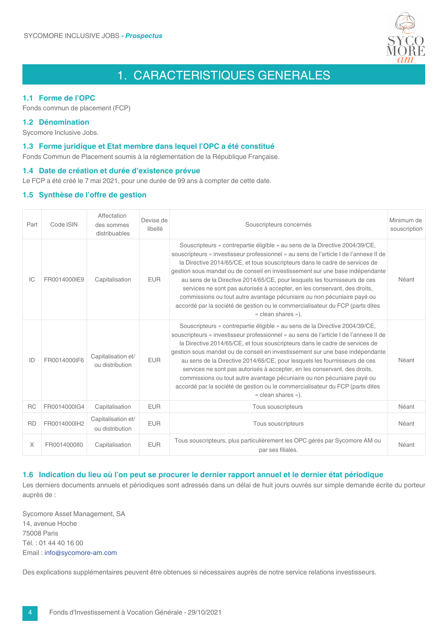

## 1. CARACTERISTIQUES GENERALES

#### 1.1 Forme de l'OPC

Fonds commun de placement (FCP)

#### 1.2 Dénomination

Sycomore Inclusive Jobs.

#### 1.3 Forme juridique et Etat membre dans lequel l'OPC a été constitué

Fonds Commun de Placement soumis à la réglementation de la République Française.

#### 1.4 Date de création et durée d'existence prévue

Le FCP a été créé le 7 mai 2021, pour une durée de 99 ans à compter de cette date.

#### 1.5 Synthèse de l'offre de gestion

| Part      | Code ISIN    | Affectation<br>des sommes<br>distribuables | Devise de<br>libellé | Minimum de<br>Souscripteurs concernés                                                                                                                                                                                                                                                                                                                                                                                                                                                                                                                                                                                                                                            |       |
|-----------|--------------|--------------------------------------------|----------------------|----------------------------------------------------------------------------------------------------------------------------------------------------------------------------------------------------------------------------------------------------------------------------------------------------------------------------------------------------------------------------------------------------------------------------------------------------------------------------------------------------------------------------------------------------------------------------------------------------------------------------------------------------------------------------------|-------|
| IC        | FR0014000IE9 | Capitalisation                             | <b>EUR</b>           | Souscripteurs « contrepartie éligible » au sens de la Directive 2004/39/CE,<br>souscripteurs « investisseur professionnel » au sens de l'article I de l'annexe II de<br>la Directive 2014/65/CE, et tous souscripteurs dans le cadre de services de<br>gestion sous mandat ou de conseil en investissement sur une base indépendante<br>au sens de la Directive 2014/65/CE, pour lesquels les fournisseurs de ces<br>services ne sont pas autorisés à accepter, en les conservant, des droits,<br>commissions ou tout autre avantage pécuniaire ou non pécuniaire payé ou<br>accordé par la société de gestion ou le commercialisateur du FCP (parts dites<br>« clean shares »). | Néant |
| ID        | FR0014000IF6 | Capitalisation et/<br>ou distribution      | <b>FUR</b>           | Souscripteurs « contrepartie éligible » au sens de la Directive 2004/39/CE,<br>souscripteurs « investisseur professionnel » au sens de l'article I de l'annexe II de<br>la Directive 2014/65/CE, et tous souscripteurs dans le cadre de services de<br>gestion sous mandat ou de conseil en investissement sur une base indépendante<br>au sens de la Directive 2014/65/CE, pour lesquels les fournisseurs de ces<br>services ne sont pas autorisés à accepter, en les conservant, des droits,<br>commissions ou tout autre avantage pécuniaire ou non pécuniaire payé ou<br>accordé par la société de gestion ou le commercialisateur du FCP (parts dites<br>« clean shares »). |       |
| <b>RC</b> | FR0014000IG4 | Capitalisation                             | <b>EUR</b>           | Tous souscripteurs                                                                                                                                                                                                                                                                                                                                                                                                                                                                                                                                                                                                                                                               | Néant |
| <b>RD</b> | FR0014000lH2 | Capitalisation et/<br>ou distribution      | <b>EUR</b>           | Tous souscripteurs                                                                                                                                                                                                                                                                                                                                                                                                                                                                                                                                                                                                                                                               | Néant |
| X         | FR0014000II0 | Capitalisation                             | <b>EUR</b>           | Tous souscripteurs, plus particulièrement les OPC gérés par Sycomore AM ou<br>par ses filiales.                                                                                                                                                                                                                                                                                                                                                                                                                                                                                                                                                                                  | Néant |

#### 1.6 Indication du lieu où l'on peut se procurer le dernier rapport annuel et le dernier état périodique

Les derniers documents annuels et périodiques sont adressés dans un délai de huit jours ouvrés sur simple demande écrite du porteur auprès de :

Sycomore Asset Management, SA 14, avenue Hoche 75008 Paris Tél.: 01 44 40 16 00 Email: info@sycomore-am.com

Des explications supplémentaires peuvent être obtenues si nécessaires auprès de notre service relations investisseurs.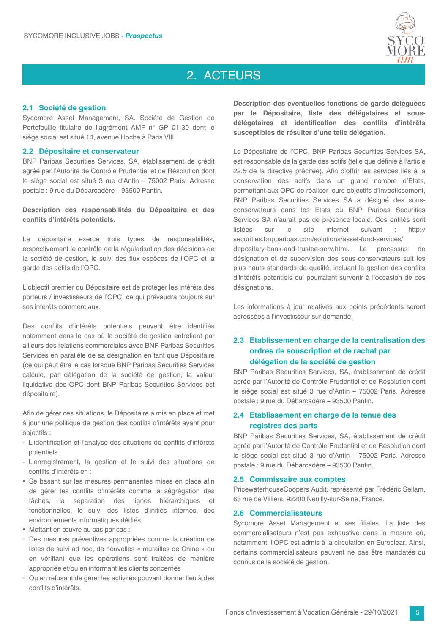

### 2. ACTEURS

#### 2.1 Société de gestion

Sycomore Asset Management, SA. Société de Gestion de Portefeuille titulaire de l'agrément AMF n° GP 01-30 dont le siège social est situé 14, avenue Hoche à Paris VIII.

#### 2.2 Dépositaire et conservateur

BNP Paribas Securities Services, SA, établissement de crédit agréé par l'Autorité de Contrôle Prudentiel et de Résolution dont le siège social est situé 3 rue d'Antin - 75002 Paris. Adresse postale : 9 rue du Débarcadère - 93500 Pantin.

Description des responsabilités du Dépositaire et des conflits d'intérêts potentiels.

Le dépositaire exerce trois types de responsabilités, respectivement le contrôle de la régularisation des décisions de la société de gestion, le suivi des flux espèces de l'OPC et la garde des actifs de l'OPC.

L'objectif premier du Dépositaire est de protéger les intérêts des porteurs / investisseurs de l'OPC, ce qui prévaudra toujours sur ses intérêts commerciaux.

Des conflits d'intérêts potentiels peuvent être identifiés notamment dans le cas où la société de gestion entretient par ailleurs des relations commerciales avec BNP Paribas Securities Services en parallèle de sa désignation en tant que Dépositaire (ce qui peut être le cas lorsque BNP Paribas Securities Services calcule, par délégation de la société de gestion, la valeur liquidative des OPC dont BNP Paribas Securities Services est dépositaire).

Afin de gérer ces situations, le Dépositaire a mis en place et met à jour une politique de gestion des conflits d'intérêts ayant pour objectifs:

- L'identification et l'analyse des situations de conflits d'intérêts potentiels:
- L'enregistrement, la gestion et le suivi des situations de conflits d'intérêts en :
- · Se basant sur les mesures permanentes mises en place afin de gérer les conflits d'intérêts comme la ségrégation des tâches, la séparation des lignes hiérarchiques et fonctionnelles, le suivi des listes d'initiés internes, des environnements informatiques dédiés
- Mettant en œuvre au cas par cas :
- · Des mesures préventives appropriées comme la création de listes de suivi ad hoc, de nouvelles « murailles de Chine » ou en vérifiant que les opérations sont traitées de manière appropriée et/ou en informant les clients concernés
- · Ou en refusant de gérer les activités pouvant donner lieu à des conflits d'intérêts.

Description des éventuelles fonctions de garde déléguées par le Dépositaire, liste des délégataires et sousdélégataires et identification des conflits d'intérêts susceptibles de résulter d'une telle délégation.

Le Dépositaire de l'OPC, BNP Paribas Securities Services SA, est responsable de la garde des actifs (telle que définie à l'article 22.5 de la directive précitée). Afin d'offrir les services liés à la conservation des actifs dans un grand nombre d'Etats, permettant aux OPC de réaliser leurs objectifs d'investissement, BNP Paribas Securities Services SA a désigné des sousconservateurs dans les Etats où BNP Paribas Securities Services SA n'aurait pas de présence locale. Ces entités sont  $_{\text{surr}}$ internet suivant : http:// listées  $|e|$ site securities.bnpparibas.com/solutions/asset-fund-services/ depositary-bank-and-trustee-serv.html. Le processus de désignation et de supervision des sous-conservateurs suit les plus hauts standards de qualité, incluant la gestion des conflits d'intérêts potentiels qui pourraient survenir à l'occasion de ces désignations.

Les informations à jour relatives aux points précédents seront adressées à l'investisseur sur demande.

### 2.3 Etablissement en charge de la centralisation des ordres de souscription et de rachat par délégation de la société de gestion

BNP Paribas Securities Services, SA, établissement de crédit agréé par l'Autorité de Contrôle Prudentiel et de Résolution dont le siège social est situé 3 rue d'Antin - 75002 Paris, Adresse postale : 9 rue du Débarcadère - 93500 Pantin.

#### 2.4 Etablissement en charge de la tenue des registres des parts

BNP Paribas Securities Services, SA, établissement de crédit agréé par l'Autorité de Contrôle Prudentiel et de Résolution dont le siège social est situé 3 rue d'Antin - 75002 Paris. Adresse postale : 9 rue du Débarcadère - 93500 Pantin.

#### 2.5 Commissaire aux comptes

PricewaterhouseCoopers Audit, représenté par Frédéric Sellam, 63 rue de Villiers, 92200 Neuilly-sur-Seine, France.

#### 2.6 Commercialisateurs

Sycomore Asset Management et ses filiales. La liste des commercialisateurs n'est pas exhaustive dans la mesure où. notamment. l'OPC est admis à la circulation en Euroclear. Ainsi. certains commercialisateurs peuvent ne pas être mandatés ou connus de la société de gestion.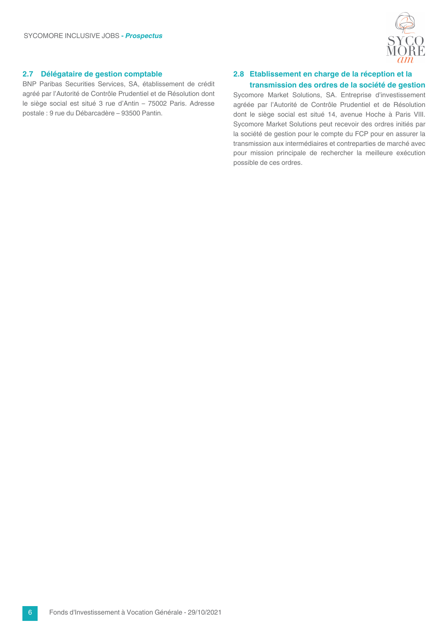

#### 2.7 Délégataire de gestion comptable

BNP Paribas Securities Services, SA, établissement de crédit agréé par l'Autorité de Contrôle Prudentiel et de Résolution dont le siège social est situé 3 rue d'Antin - 75002 Paris. Adresse postale : 9 rue du Débarcadère - 93500 Pantin.

#### 2.8 Etablissement en charge de la réception et la transmission des ordres de la société de gestion

Sycomore Market Solutions, SA. Entreprise d'investissement agréée par l'Autorité de Contrôle Prudentiel et de Résolution dont le siège social est situé 14, avenue Hoche à Paris VIII. Sycomore Market Solutions peut recevoir des ordres initiés par la société de gestion pour le compte du FCP pour en assurer la transmission aux intermédiaires et contreparties de marché avec pour mission principale de rechercher la meilleure exécution possible de ces ordres.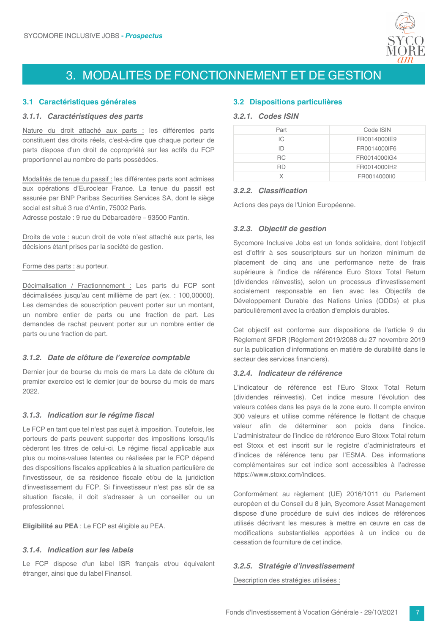

## 3. MODALITES DE FONCTIONNEMENT ET DE GESTION

#### 3.1 Caractéristiques générales

#### 3.1.1. Caractéristiques des parts

Nature du droit attaché aux parts : les différentes parts constituent des droits réels, c'est-à-dire que chaque porteur de parts dispose d'un droit de copropriété sur les actifs du FCP proportionnel au nombre de parts possédées.

Modalités de tenue du passif : les différentes parts sont admises aux opérations d'Euroclear France. La tenue du passif est assurée par BNP Paribas Securities Services SA, dont le siège social est situé 3 rue d'Antin, 75002 Paris.

Adresse postale : 9 rue du Débarcadère - 93500 Pantin.

Droits de vote : aucun droit de vote n'est attaché aux parts, les décisions étant prises par la société de gestion.

#### Forme des parts : au porteur.

Décimalisation / Fractionnement : Les parts du FCP sont décimalisées jusqu'au cent millième de part (ex. : 100,00000). Les demandes de souscription peuvent porter sur un montant, un nombre entier de parts ou une fraction de part. Les demandes de rachat peuvent porter sur un nombre entier de parts ou une fraction de part.

#### 3.1.2. Date de clôture de l'exercice comptable

Dernier jour de bourse du mois de mars La date de clôture du premier exercice est le dernier jour de bourse du mois de mars 2022.

#### 3.1.3. Indication sur le régime fiscal

Le FCP en tant que tel n'est pas suiet à imposition. Toutefois, les porteurs de parts peuvent supporter des impositions lorsqu'ils cèderont les titres de celui-ci. Le régime fiscal applicable aux plus ou moins-values latentes ou réalisées par le FCP dépend des dispositions fiscales applicables à la situation particulière de l'investisseur, de sa résidence fiscale et/ou de la juridiction d'investissement du FCP. Si l'investisseur n'est pas sûr de sa situation fiscale, il doit s'adresser à un conseiller ou un professionnel.

Eligibilité au PEA : Le FCP est éligible au PEA.

#### 3.1.4. Indication sur les labels

Le FCP dispose d'un label ISR français et/ou équivalent étranger, ainsi que du label Finansol.

#### **3.2 Dispositions particulières**

#### 3.2.1. Codes ISIN

| Part      | Code ISIN    |
|-----------|--------------|
| IС        | FR0014000IE9 |
| ID        | FR0014000IF6 |
| RC.       | FR0014000IG4 |
| <b>RD</b> | FR0014000lH2 |
|           | FR0014000II0 |

#### 3.2.2. Classification

Actions des pays de l'Union Européenne.

#### 3.2.3. Objectif de gestion

Sycomore Inclusive Jobs est un fonds solidaire, dont l'objectif est d'offrir à ses souscripteurs sur un horizon minimum de placement de cinq ans une performance nette de frais supérieure à l'indice de référence Euro Stoxx Total Return (dividendes réinvestis), selon un processus d'investissement socialement responsable en lien avec les Objectifs de Développement Durable des Nations Unies (ODDs) et plus particulièrement avec la création d'emplois durables.

Cet objectif est conforme aux dispositions de l'article 9 du Règlement SFDR (Règlement 2019/2088 du 27 novembre 2019 sur la publication d'informations en matière de durabilité dans le secteur des services financiers).

#### 3.2.4. Indicateur de référence

L'indicateur de référence est l'Euro Stoxx Total Return (dividendes réinvestis). Cet indice mesure l'évolution des valeurs cotées dans les pays de la zone euro. Il compte environ 300 valeurs et utilise comme référence le flottant de chaque valeur afin de déterminer son poids dans l'indice. L'administrateur de l'indice de référence Euro Stoxx Total return est Stoxx et est inscrit sur le registre d'administrateurs et d'indices de référence tenu par l'ESMA. Des informations complémentaires sur cet indice sont accessibles à l'adresse https://www.stoxx.com/indices.

Conformément au règlement (UE) 2016/1011 du Parlement européen et du Conseil du 8 juin, Sycomore Asset Management dispose d'une procédure de suivi des indices de références utilisés décrivant les mesures à mettre en œuvre en cas de modifications substantielles apportées à un indice ou de cessation de fourniture de cet indice.

#### 3.2.5. Stratégie d'investissement

Description des stratégies utilisées :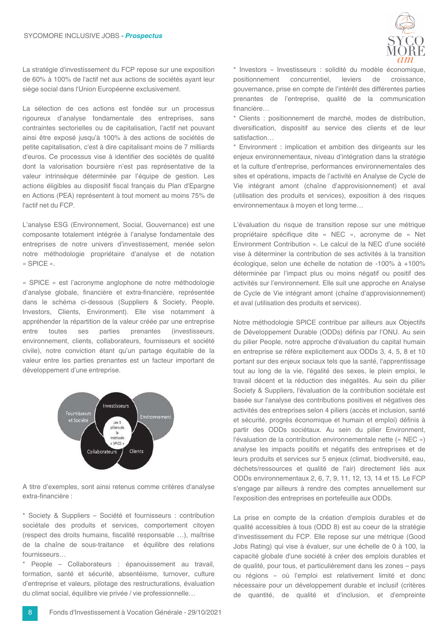

La stratégie d'investissement du FCP repose sur une exposition de 60% à 100% de l'actif net aux actions de sociétés avant leur siège social dans l'Union Européenne exclusivement.

La sélection de ces actions est fondée sur un processus rigoureux d'analyse fondamentale des entreprises, sans contraintes sectorielles ou de capitalisation, l'actif net pouvant ainsi être exposé jusqu'à 100% à des actions de sociétés de petite capitalisation, c'est à dire capitalisant moins de 7 milliards d'euros. Ce processus vise à identifier des sociétés de qualité dont la valorisation boursière n'est pas représentative de la valeur intrinsèque déterminée par l'équipe de gestion. Les actions éligibles au dispositif fiscal français du Plan d'Epargne en Actions (PEA) représentent à tout moment au moins 75% de l'actif net du FCP.

L'analyse ESG (Environnement, Social, Gouvernance) est une composante totalement intégrée à l'analyse fondamentale des entreprises de notre univers d'investissement, menée selon notre méthodologie propriétaire d'analyse et de notation « SPICE ».

« SPICE » est l'acronyme anglophone de notre méthodologie d'analyse globale, financière et extra-financière, représentée dans le schéma ci-dessous (Suppliers & Society, People, Investors, Clients, Environment). Elle vise notamment à appréhender la répartition de la valeur créée par une entreprise entre toutes ses parties prenantes (investisseurs, environnement, clients, collaborateurs, fournisseurs et société civile), notre conviction étant qu'un partage équitable de la valeur entre les parties prenantes est un facteur important de développement d'une entreprise.



A titre d'exemples, sont ainsi retenus comme critères d'analyse extra-financière :

\* Society & Suppliers - Société et fournisseurs : contribution sociétale des produits et services, comportement citoyen (respect des droits humains, fiscalité responsable ...), maîtrise de la chaîne de sous-traitance et équilibre des relations fournisseurs...

\* People - Collaborateurs : épanouissement au travail, formation, santé et sécurité, absentéisme, turnover, culture d'entreprise et valeurs, pilotage des restructurations, évaluation du climat social, équilibre vie privée / vie professionnelle...

positionnement concurrentiel. leviers de croissance. gouvernance, prise en compte de l'intérêt des différentes parties prenantes de l'entreprise, qualité de la communication financière... \* Clients : positionnement de marché, modes de distribution,

diversification, dispositif au service des clients et de leur satisfaction

\* Environment : implication et ambition des dirigeants sur les enjeux environnementaux, niveau d'intégration dans la stratégie et la culture d'entreprise, performances environnementales des sites et opérations, impacts de l'activité en Analyse de Cycle de Vie intégrant amont (chaîne d'approvisionnement) et aval (utilisation des produits et services), exposition à des risques environnementaux à moyen et long terme...

L'évaluation du risque de transition repose sur une métrique propriétaire spécifique dite « NEC », acronyme de « Net Environment Contribution ». Le calcul de la NEC d'une société vise à déterminer la contribution de ses activités à la transition écologique, selon une échelle de notation de -100% à +100% déterminée par l'impact plus ou moins négatif ou positif des activités sur l'environnement. Elle suit une approche en Analyse de Cycle de Vie intégrant amont (chaîne d'approvisionnement) et aval (utilisation des produits et services).

Notre méthodologie SPICE contribue par ailleurs aux Objectifs de Développement Durable (ODDs) définis par l'ONU. Au sein du pilier People, notre approche d'évaluation du capital humain en entreprise se réfère explicitement aux ODDs 3, 4, 5, 8 et 10 portant sur des enjeux sociaux tels que la santé, l'apprentissage tout au long de la vie, l'égalité des sexes, le plein emploi, le travail décent et la réduction des inégalités. Au sein du pilier Society & Suppliers, l'évaluation de la contribution sociétale est basée sur l'analyse des contributions positives et négatives des activités des entreprises selon 4 piliers (accès et inclusion, santé et sécurité, progrès économique et humain et emploi) définis à partir des ODDs sociétaux. Au sein du pilier Environment, l'évaluation de la contribution environnementale nette (« NEC ») analyse les impacts positifs et négatifs des entreprises et de leurs produits et services sur 5 enieux (climat, biodiversité, eau. déchets/ressources et qualité de l'air) directement liés aux ODDs environnementaux 2, 6, 7, 9, 11, 12, 13, 14 et 15. Le FCP s'engage par ailleurs à rendre des comptes annuellement sur l'exposition des entreprises en portefeuille aux ODDs.

La prise en compte de la création d'emplois durables et de qualité accessibles à tous (ODD 8) est au coeur de la stratégie d'investissement du FCP. Elle repose sur une métrique (Good Jobs Rating) qui vise à évaluer, sur une échelle de 0 à 100, la capacité globale d'une société à créer des emplois durables et de qualité, pour tous, et particulièrement dans les zones - pays ou régions - où l'emploi est relativement limité et donc nécessaire pour un développement durable et inclusif (critères de quantité, de qualité et d'inclusion, et d'empreinte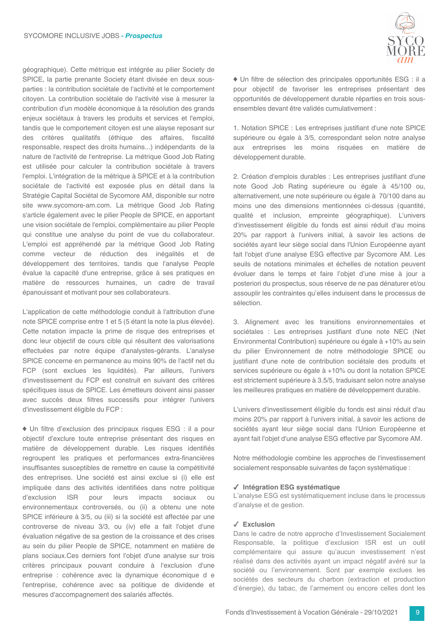géographique). Cette métrique est intégrée au pilier Society de SPICE, la partie prenante Society étant divisée en deux sousparties : la contribution sociétale de l'activité et le comportement citoyen. La contribution sociétale de l'activité vise à mesurer la contribution d'un modèle économique à la résolution des grands enjeux sociétaux à travers les produits et services et l'emploi, tandis que le comportement citoyen est une alayse reposant sur des critères qualitatifs (éthique des affaires, fiscalité responsable, respect des droits humains...) indépendants de la nature de l'activité de l'entreprise. La métrique Good Job Rating est utilisée pour calculer la contribution sociétale à travers l'emploi. L'intégration de la métrique à SPICE et à la contribution sociétale de l'activité est exposée plus en détail dans la Stratégie Capital Sociétal de Sycomore AM, disponible sur notre site www.sycomore-am.com. La métrique Good Job Rating s'article également avec le pilier People de SPICE, en apportant une vision sociétale de l'emploi, complémentaire au pilier People qui constitue une analyse du point de vue du collaborateur. L'emploi est appréhendé par la métrique Good Job Rating comme vecteur de réduction des inégalités et de développement des territoires, tandis que l'analyse People évalue la capacité d'une entreprise, grâce à ses pratiques en matière de ressources humaines, un cadre de travail épanouissant et motivant pour ses collaborateurs.

L'application de cette méthodologie conduit à l'attribution d'une note SPICE comprise entre 1 et 5 (5 étant la note la plus élevée). Cette notation impacte la prime de risque des entreprises et donc leur objectif de cours cible qui résultent des valorisations effectuées par notre équipe d'analystes-gérants. L'analyse SPICE concerne en permanence au moins 90% de l'actif net du FCP (sont exclues les liquidités). Par ailleurs, l'univers d'investissement du FCP est construit en suivant des critères spécifiques issus de SPICE. Les émetteurs doivent ainsi passer avec succès deux filtres successifs pour intégrer l'univers d'investissement éligible du FCP :

♦ Un filtre d'exclusion des principaux risques ESG : il a pour objectif d'exclure toute entreprise présentant des risques en matière de développement durable. Les risques identifiés regroupent les pratiques et performances extra-financières insuffisantes susceptibles de remettre en cause la compétitivité des entreprises. Une société est ainsi exclue si (i) elle est impliquée dans des activités identifiées dans notre politique d'exclusion ISR pour leurs impacts sociaux ou environnementaux controversés, ou (ii) a obtenu une note SPICE inférieure à 3/5, ou (iii) si la société est affectée par une controverse de niveau 3/3, ou (iv) elle a fait l'objet d'une évaluation négative de sa gestion de la croissance et des crises au sein du pilier People de SPICE, notamment en matière de plans sociaux.Ces derniers font l'objet d'une analyse sur trois critères principaux pouvant conduire à l'exclusion d'une entreprise : cohérence avec la dynamique économique d e l'entreprise, cohérence avec sa politique de dividende et mesures d'accompagnement des salariés affectés.



♦ Un filtre de sélection des principales opportunités ESG : il a pour objectif de favoriser les entreprises présentant des opportunités de développement durable réparties en trois sousensembles devant être validés cumulativement :

1. Notation SPICE : Les entreprises justifiant d'une note SPICE supérieure ou égale à 3/5, correspondant selon notre analyse aux entreprises les moins risquées en matière de développement durable.

2. Création d'emplois durables : Les entreprises justifiant d'une note Good Job Rating supérieure ou égale à 45/100 ou, alternativement, une note supérieure ou égale à 70/100 dans au moins une des dimensions mentionnées ci-dessus (quantité, qualité et inclusion, empreinte géographique). L'univers d'investissement éligible du fonds est ainsi réduit d'au moins 20% par rapport à l'univers initial, à savoir les actions de sociétés ayant leur siège social dans l'Union Européenne ayant fait l'objet d'une analyse ESG effective par Sycomore AM. Les seuils de notations minimales et échelles de notation peuvent évoluer dans le temps et faire l'objet d'une mise à jour a posteriori du prospectus, sous réserve de ne pas dénaturer et/ou assouplir les contraintes qu'elles induisent dans le processus de sélection.

3. Alignement avec les transitions environnementales et sociétales : Les entreprises justifiant d'une note NEC (Net Environmental Contribution) supérieure ou égale à +10% au sein du pilier Environnement de notre méthodologie SPICE ou justifiant d'une note de contribution sociétale des produits et services supérieure ou égale à +10% ou dont la notation SPICE est strictement supérieure à 3.5/5, traduisant selon notre analyse les meilleures pratiques en matière de développement durable.

L'univers d'investissement éligible du fonds est ainsi réduit d'au moins 20% par rapport à l'univers initial, à savoir les actions de sociétés ayant leur siège social dans l'Union Européenne et ayant fait l'objet d'une analyse ESG effective par Sycomore AM.

Notre méthodologie combine les approches de l'investissement socialement responsable suivantes de façon systématique :

#### ✔ Intégration ESG systématique

L'analyse ESG est systématiquement incluse dans le processus d'analyse et de gestion.

#### $\checkmark$  Exclusion

Dans le cadre de notre approche d'Investissement Socialement Responsable, la politique d'exclusion ISR est un outil complémentaire qui assure qu'aucun investissement n'est réalisé dans des activités ayant un impact négatif avéré sur la société ou l'environnement. Sont par exemple exclues les sociétés des secteurs du charbon (extraction et production d'énergie), du tabac, de l'armement ou encore celles dont les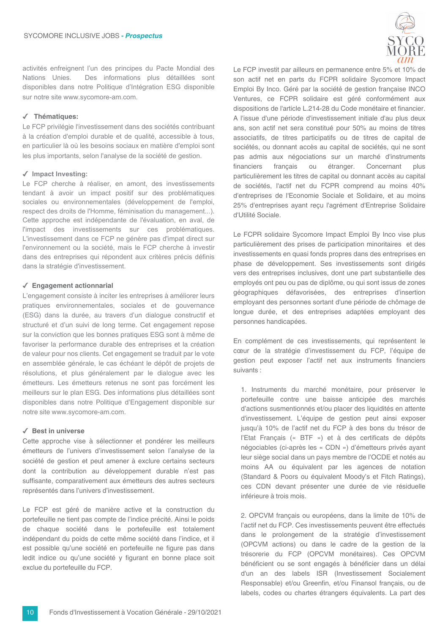activités enfreignent l'un des principes du Pacte Mondial des Nations Unies. Des informations plus détaillées sont disponibles dans notre Politique d'Intégration ESG disponible sur notre site www.svcomore-am.com.

#### √ Thématiques:

Le FCP privilégie l'investissement dans des sociétés contribuant à la création d'emploi durable et de qualité, accessible à tous, en particulier là où les besoins sociaux en matière d'emploi sont les plus importants, selon l'analyse de la société de gestion.

#### $\checkmark$  Impact Investing:

Le FCP cherche à réaliser, en amont, des investissements tendant à avoir un impact positif sur des problématiques sociales ou environnementales (développement de l'emploi, respect des droits de l'Homme, féminisation du management...). Cette approche est indépendante de l'évaluation, en aval, de l'impact des investissements sur ces problématiques. L'investissement dans ce FCP ne génère pas d'impat direct sur l'environnement ou la société, mais le FCP cherche à investir dans des entreprises qui répondent aux critères précis définis dans la stratégie d'investissement.

#### $\checkmark$  Engagement actionnarial

L'engagement consiste à inciter les entreprises à améliorer leurs pratiques environnementales, sociales et de gouvernance (ESG) dans la durée, au travers d'un dialogue constructif et structuré et d'un suivi de long terme. Cet engagement repose sur la conviction que les bonnes pratiques ESG sont à même de favoriser la performance durable des entreprises et la création de valeur pour nos clients. Cet engagement se traduit par le vote en assemblée générale, le cas échéant le dépôt de projets de résolutions, et plus généralement par le dialogue avec les émetteurs. Les émetteurs retenus ne sont pas forcément les meilleurs sur le plan ESG. Des informations plus détaillées sont disponibles dans notre Politique d'Engagement disponible sur notre site www.sycomore-am.com.

#### ✔ Best in universe

Cette approche vise à sélectionner et pondérer les meilleurs émetteurs de l'univers d'investissement selon l'analyse de la société de gestion et peut amener à exclure certains secteurs dont la contribution au développement durable n'est pas suffisante, comparativement aux émetteurs des autres secteurs représentés dans l'univers d'investissement.

Le FCP est géré de manière active et la construction du portefeuille ne tient pas compte de l'indice précité. Ainsi le poids de chaque société dans le portefeuille est totalement indépendant du poids de cette même société dans l'indice, et il est possible qu'une société en portefeuille ne figure pas dans ledit indice ou qu'une société y figurant en bonne place soit exclue du portefeuille du FCP.



Le FCP investit par ailleurs en permanence entre 5% et 10% de son actif net en parts du FCPR solidaire Sycomore Impact Emploi By Inco. Géré par la société de gestion française INCO Ventures, ce FCPR solidaire est géré conformément aux dispositions de l'article L.214-28 du Code monétaire et financier. A l'issue d'une période d'investissement initiale d'au plus deux ans, son actif net sera constitué pour 50% au moins de titres associatifs, de titres participatifs ou de titres de capital de sociétés, ou donnant accès au capital de sociétés, qui ne sont pas admis aux négociations sur un marché d'instruments financiers francais ou étranger. Concernant plus particulièrement les titres de capital ou donnant accès au capital de sociétés, l'actif net du FCPR comprend au moins 40% d'entreprises de l'Economie Sociale et Solidaire, et au moins 25% d'entreprises ayant reçu l'agrément d'Entreprise Solidaire d'Utilité Sociale.

Le FCPR solidaire Sycomore Impact Emploi By Inco vise plus particulièrement des prises de participation minoritaires et des investissements en quasi fonds propres dans des entreprises en phase de développement. Ses investissements sont dirigés vers des entreprises inclusives, dont une part substantielle des employés ont peu ou pas de diplôme, ou qui sont issus de zones géographiques défavorisées, des entreprises d'insertion employant des personnes sortant d'une période de chômage de lonque durée, et des entreprises adaptées employant des personnes handicapées.

En complément de ces investissements, qui représentent le cœur de la stratégie d'investissement du FCP, l'équipe de gestion peut exposer l'actif net aux instruments financiers suivants :

1. Instruments du marché monétaire, pour préserver le portefeuille contre une baisse anticipée des marchés d'actions susmentionnés et/ou placer des liquidités en attente d'investissement. L'équipe de gestion peut ainsi exposer jusqu'à 10% de l'actif net du FCP à des bons du trésor de l'Etat Français (« BTF ») et à des certificats de dépôts négociables (ci-après les « CDN ») d'émetteurs privés ayant leur siège social dans un pays membre de l'OCDE et notés au moins AA ou équivalent par les agences de notation (Standard & Poors ou équivalent Moody's et Fitch Ratings), ces CDN devant présenter une durée de vie résiduelle inférieure à trois mois.

2. OPCVM français ou européens, dans la limite de 10% de l'actif net du FCP. Ces investissements peuvent être effectués dans le prolongement de la stratégie d'investissement (OPCVM actions) ou dans le cadre de la gestion de la trésorerie du FCP (OPCVM monétaires). Ces OPCVM bénéficient ou se sont engagés à bénéficier dans un délai d'un an des labels ISR (Investissement Socialement Responsable) et/ou Greenfin, et/ou Finansol francais, ou de labels, codes ou chartes étrangers équivalents. La part des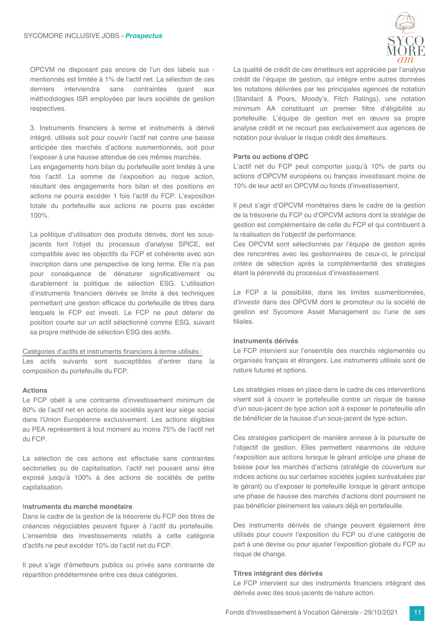OPCVM ne disposant pas encore de l'un des labels sus mentionnés est limitée à 1% de l'actif net. La sélection de ces derniers interviendra sans contraintes quant  $AIIIX$ méthodologies ISR emplovées par leurs sociétés de gestion respectives.

3. Instruments financiers à terme et instruments à dérivé intégré, utilisés soit pour couvrir l'actif net contre une baisse anticipée des marchés d'actions susmentionnés, soit pour l'exposer à une hausse attendue de ces mêmes marchés.

Les engagements hors bilan du portefeuille sont limités à une fois l'actif. La somme de l'exposition au risque action, résultant des engagements hors bilan et des positions en actions ne pourra excéder 1 fois l'actif du FCP. L'exposition totale du portefeuille aux actions ne pourra pas excéder 100%.

La politique d'utilisation des produits dérivés, dont les sousjacents font l'objet du processus d'analyse SPICE, est compatible avec les objectifs du FCP et cohérente avec son inscription dans une perspective de long terme. Elle n'a pas pour conséquence de dénaturer significativement ou durablement la politique de sélection ESG. L'utilisation d'instruments financiers dérivés se limite à des techniques permettant une gestion efficace du portefeuille de titres dans lesquels le FCP est investi. Le FCP ne peut détenir de position courte sur un actif sélectionné comme ESG, suivant sa propre méthode de sélection ESG des actifs.

#### Catégories d'actifs et instruments financiers à terme utilisés :

Les actifs suivants sont susceptibles d'entrer dans la composition du portefeuille du FCP.

#### **Actions**

Le FCP obéit à une contrainte d'investissement minimum de 80% de l'actif net en actions de sociétés avant leur siège social dans l'Union Européenne exclusivement. Les actions éligibles au PEA représentent à tout moment au moins 75% de l'actif net du FCP.

La sélection de ces actions est effectuée sans contraintes sectorielles ou de capitalisation, l'actif net pouvant ainsi être exposé jusqu'à 100% à des actions de sociétés de petite capitalisation.

#### Instruments du marché monétaire

Dans le cadre de la gestion de la trésorerie du FCP des titres de créances négociables peuvent figurer à l'actif du portefeuille. L'ensemble des investissements relatifs à cette catégorie d'actifs ne peut excéder 10% de l'actif net du FCP.

Il peut s'agir d'émetteurs publics ou privés sans contrainte de répartition prédéterminée entre ces deux catégories.

La qualité de crédit de ces émetteurs est appréciée par l'analyse crédit de l'équipe de gestion, qui intègre entre autres données les notations délivrées par les principales agences de notation (Standard & Poors, Moody's, Fitch Ratings), une notation minimum AA constituant un premier filtre d'éligibilité au portefeuille. L'équipe de gestion met en œuvre sa propre analyse crédit et ne recourt pas exclusivement aux agences de notation pour évaluer le risque crédit des émetteurs.

#### Parts ou actions d'OPC

L'actif net du FCP peut comporter jusqu'à 10% de parts ou actions d'OPCVM européens ou français investissant moins de 10% de leur actif en OPCVM ou fonds d'investissement.

Il peut s'agir d'OPCVM monétaires dans le cadre de la gestion de la trésorerie du FCP ou d'OPCVM actions dont la stratégie de gestion est complémentaire de celle du FCP et qui contribuent à la réalisation de l'objectif de performance.

Ces OPCVM sont sélectionnés par l'équipe de gestion après des rencontres avec les gestionnaires de ceux-ci, le principal critère de sélection après la complémentarité des stratégies étant la pérennité du processus d'investissement.

Le FCP a la possibilité, dans les limites susmentionnées, d'investir dans des OPCVM dont le promoteur ou la société de gestion est Sycomore Asset Management ou l'une de ses filiales.

#### Instruments dérivés

Le FCP intervient sur l'ensemble des marchés réglementés ou organisés français et étrangers. Les instruments utilisés sont de nature futures et options.

Les stratégies mises en place dans le cadre de ces interventions visent soit à couvrir le portefeuille contre un risque de baisse d'un sous-jacent de type action soit à exposer le portefeuille afin de bénéficier de la hausse d'un sous-jacent de type action.

Ces stratégies participent de manière annexe à la poursuite de l'objectif de gestion. Elles permettent néanmoins de réduire l'exposition aux actions lorsque le gérant anticipe une phase de baisse pour les marchés d'actions (stratégie de couverture sur indices actions ou sur certaines sociétés jugées surévaluées par le gérant) ou d'exposer le portefeuille lorsque le gérant anticipe une phase de hausse des marchés d'actions dont pourraient ne pas bénéficier pleinement les valeurs déjà en portefeuille.

Des instruments dérivés de change peuvent également être utilisés pour couvrir l'exposition du FCP ou d'une catégorie de part à une devise ou pour ajuster l'exposition globale du FCP au risque de change.

#### Titres intégrant des dérivés

Le FCP intervient sur des instruments financiers intégrant des dérivés avec des sous-jacents de nature action.

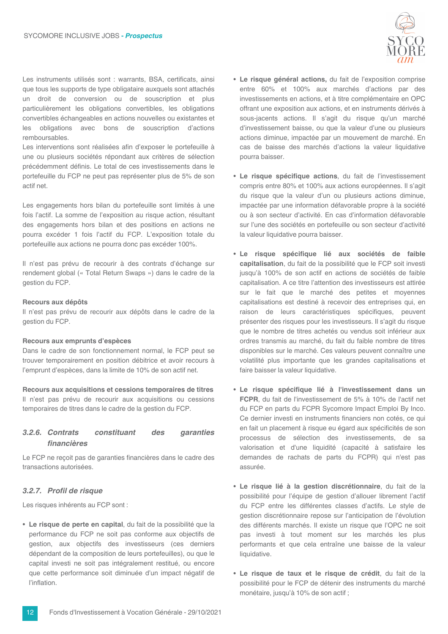

Les instruments utilisés sont : warrants, BSA, certificats, ainsi que tous les supports de type obligataire auxquels sont attachés un droit de conversion ou de souscription et plus particulièrement les obligations convertibles, les obligations convertibles échangeables en actions nouvelles ou existantes et les obligations avec bons de souscription d'actions remboursables.

Les interventions sont réalisées afin d'exposer le portefeuille à une ou plusieurs sociétés répondant aux critères de sélection précédemment définis. Le total de ces investissements dans le portefeuille du FCP ne peut pas représenter plus de 5% de son actif net.

Les engagements hors bilan du portefeuille sont limités à une fois l'actif. La somme de l'exposition au risque action, résultant des engagements hors bilan et des positions en actions ne pourra excéder 1 fois l'actif du FCP. L'exposition totale du portefeuille aux actions ne pourra donc pas excéder 100%.

Il n'est pas prévu de recourir à des contrats d'échange sur rendement global (« Total Return Swaps ») dans le cadre de la gestion du FCP.

#### Recours aux dépôts

Il n'est pas prévu de recourir aux dépôts dans le cadre de la gestion du FCP.

#### Recours aux emprunts d'espèces

Dans le cadre de son fonctionnement normal, le FCP peut se trouver temporairement en position débitrice et avoir recours à l'emprunt d'espèces, dans la limite de 10% de son actif net.

Recours aux acquisitions et cessions temporaires de titres Il n'est pas prévu de recourir aux acquisitions ou cessions temporaires de titres dans le cadre de la gestion du FCP.

#### 3.2.6. Contrats constituant des garanties financières

Le FCP ne reçoit pas de garanties financières dans le cadre des transactions autorisées.

#### 3.2.7. Profil de risaue

Les risques inhérents au FCP sont :

· Le risque de perte en capital, du fait de la possibilité que la performance du FCP ne soit pas conforme aux objectifs de gestion, aux objectifs des investisseurs (ces derniers dépendant de la composition de leurs portefeuilles), ou que le capital investi ne soit pas intégralement restitué, ou encore que cette performance soit diminuée d'un impact négatif de l'inflation.

- · Le risque général actions, du fait de l'exposition comprise entre 60% et 100% aux marchés d'actions par des investissements en actions, et à titre complémentaire en OPC offrant une exposition aux actions, et en instruments dérivés à sous-jacents actions. Il s'agit du risque qu'un marché d'investissement baisse, ou que la valeur d'une ou plusieurs actions diminue, impactée par un mouvement de marché. En cas de baisse des marchés d'actions la valeur liquidative pourra baisser.
- · Le risque spécifique actions, du fait de l'investissement compris entre 80% et 100% aux actions européennes. Il s'agit du risque que la valeur d'un ou plusieurs actions diminue, impactée par une information défavorable propre à la société ou à son secteur d'activité. En cas d'information défavorable sur l'une des sociétés en portefeuille ou son secteur d'activité la valeur liquidative pourra baisser.
- · Le risque spécifique lié aux sociétés de faible capitalisation, du fait de la possibilité que le FCP soit investi jusqu'à 100% de son actif en actions de sociétés de faible capitalisation. A ce titre l'attention des investisseurs est attirée sur le fait que le marché des petites et moyennes capitalisations est destiné à recevoir des entreprises qui, en raison de leurs caractéristiques spécifiques, peuvent présenter des risques pour les investisseurs. Il s'agit du risque que le nombre de titres achetés ou vendus soit inférieur aux ordres transmis au marché, du fait du faible nombre de titres disponibles sur le marché. Ces valeurs peuvent connaître une volatilité plus importante que les grandes capitalisations et faire baisser la valeur liquidative.
- · Le risque spécifique lié à l'investissement dans un FCPR, du fait de l'investissement de 5% à 10% de l'actif net du FCP en parts du FCPR Sycomore Impact Emploi By Inco. Ce dernier investi en instruments financiers non cotés, ce qui en fait un placement à risque eu égard aux spécificités de son processus de sélection des investissements, de sa valorisation et d'une liquidité (capacité à satisfaire les demandes de rachats de parts du FCPR) qui n'est pas assurée.
- · Le risque lié à la gestion discrétionnaire, du fait de la possibilité pour l'équipe de gestion d'allouer librement l'actif du FCP entre les différentes classes d'actifs. Le style de gestion discrétionnaire repose sur l'anticipation de l'évolution des différents marchés. Il existe un risque que l'OPC ne soit pas investi à tout moment sur les marchés les plus performants et que cela entraîne une baisse de la valeur liquidative.
- · Le risque de taux et le risque de crédit, du fait de la possibilité pour le FCP de détenir des instruments du marché monétaire, jusqu'à 10% de son actif ;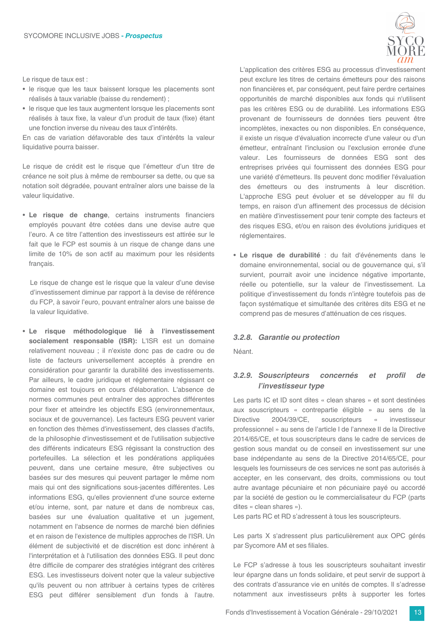Le risque de taux est :

- · le risque que les taux baissent lorsque les placements sont réalisés à taux variable (baisse du rendement) ;
- · le risque que les taux augmentent lorsque les placements sont réalisés à taux fixe, la valeur d'un produit de taux (fixe) étant une fonction inverse du niveau des taux d'intérêts.

En cas de variation défavorable des taux d'intérêts la valeur liquidative pourra baisser.

Le risque de crédit est le risque que l'émetteur d'un titre de créance ne soit plus à même de rembourser sa dette, ou que sa notation soit dégradée, pouvant entraîner alors une baisse de la valeur liquidative.

• Le risque de change, certains instruments financiers emplovés pouvant être cotées dans une devise autre que l'euro. A ce titre l'attention des investisseurs est attirée sur le fait que le FCP est soumis à un risque de change dans une limite de 10% de son actif au maximum pour les résidents francais.

Le risque de change est le risque que la valeur d'une devise d'investissement diminue par rapport à la devise de référence du FCP, à savoir l'euro, pouvant entraîner alors une baisse de la valeur liquidative.

· Le risque méthodologique lié à l'investissement socialement responsable (ISR): L'ISR est un domaine relativement nouveau ; il n'existe donc pas de cadre ou de liste de facteurs universellement acceptés à prendre en considération pour garantir la durabilité des investissements. Par ailleurs, le cadre juridique et réglementaire régissant ce domaine est toujours en cours d'élaboration. L'absence de normes communes peut entraîner des approches différentes pour fixer et atteindre les objectifs ESG (environnementaux, sociaux et de gouvernance). Les facteurs ESG peuvent varier en fonction des thèmes d'investissement, des classes d'actifs, de la philosophie d'investissement et de l'utilisation subjective des différents indicateurs ESG régissant la construction des portefeuilles. La sélection et les pondérations appliquées peuvent, dans une certaine mesure, être subjectives ou basées sur des mesures qui peuvent partager le même nom mais qui ont des significations sous-jacentes différentes. Les informations ESG, qu'elles proviennent d'une source externe et/ou interne, sont, par nature et dans de nombreux cas, basées sur une évaluation qualitative et un jugement, notamment en l'absence de normes de marché bien définies et en raison de l'existence de multiples approches de l'ISR. Un élément de subjectivité et de discrétion est donc inhérent à l'interprétation et à l'utilisation des données ESG. Il peut donc être difficile de comparer des stratégies intégrant des critères ESG. Les investisseurs doivent noter que la valeur subiective qu'ils peuvent ou non attribuer à certains types de critères ESG peut différer sensiblement d'un fonds à l'autre.

L'application des critères ESG au processus d'investissement peut exclure les titres de certains émetteurs pour des raisons non financières et, par conséquent, peut faire perdre certaines opportunités de marché disponibles aux fonds qui n'utilisent pas les critères ESG ou de durabilité. Les informations ESG provenant de fournisseurs de données tiers peuvent être incomplètes, inexactes ou non disponibles. En conséquence, il existe un risque d'évaluation incorrecte d'une valeur ou d'un émetteur, entraînant l'inclusion ou l'exclusion erronée d'une valeur. Les fournisseurs de données ESG sont des entreprises privées qui fournissent des données ESG pour une variété d'émetteurs. Ils peuvent donc modifier l'évaluation des émetteurs ou des instruments à leur discrétion. L'approche ESG peut évoluer et se développer au fil du temps, en raison d'un affinement des processus de décision en matière d'investissement pour tenir compte des facteurs et des risques ESG, et/ou en raison des évolutions juridiques et réglementaires.

· Le risque de durabilité : du fait d'événements dans le domaine environnemental, social ou de gouvernance qui, s'il survient, pourrait avoir une incidence négative importante, réelle ou potentielle, sur la valeur de l'investissement. La politique d'investissement du fonds n'intègre toutefois pas de façon systématique et simultanée des critères dits ESG et ne comprend pas de mesures d'atténuation de ces risques.

#### 3.2.8. Garantie ou protection

Néant.

#### 3.2.9. Souscripteurs concernés  $et$ profil de l'investisseur type

Les parts IC et ID sont dites « clean shares » et sont destinées aux souscripteurs « contrepartie éligible » au sens de la 2004/39/CE,  $\ll$ **Directive** souscripteurs investisseur professionnel » au sens de l'article I de l'annexe II de la Directive 2014/65/CE, et tous souscripteurs dans le cadre de services de gestion sous mandat ou de conseil en investissement sur une base indépendante au sens de la Directive 2014/65/CE, pour lesquels les fournisseurs de ces services ne sont pas autorisés à accepter, en les conservant, des droits, commissions ou tout autre avantage pécuniaire et non pécuniaire payé ou accordé par la société de gestion ou le commercialisateur du FCP (parts dites « clean shares »).

Les parts RC et RD s'adressent à tous les souscripteurs.

Les parts X s'adressent plus particulièrement aux OPC gérés par Sycomore AM et ses filiales.

Le FCP s'adresse à tous les souscripteurs souhaitant investir leur épargne dans un fonds solidaire, et peut servir de support à des contrats d'assurance vie en unités de comptes. Il s'adresse notamment aux investisseurs prêts à supporter les fortes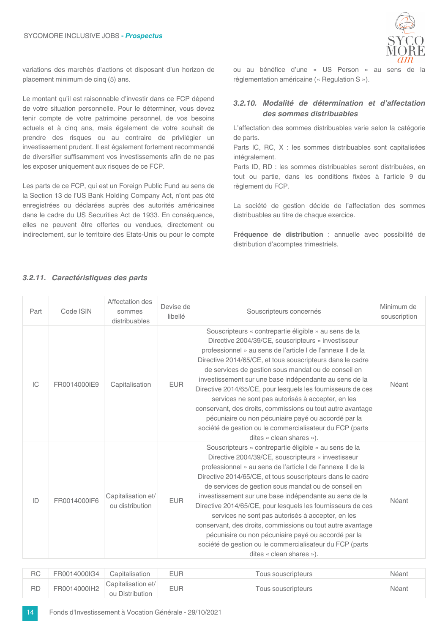

variations des marchés d'actions et disposant d'un horizon de placement minimum de cinq (5) ans.

Le montant qu'il est raisonnable d'investir dans ce FCP dépend de votre situation personnelle. Pour le déterminer, vous devez tenir compte de votre patrimoine personnel, de vos besoins actuels et à cinq ans, mais également de votre souhait de prendre des risques ou au contraire de privilégier un investissement prudent. Il est également fortement recommandé de diversifier suffisamment vos investissements afin de ne pas les exposer uniquement aux risques de ce FCP.

Les parts de ce FCP, qui est un Foreign Public Fund au sens de la Section 13 de l'US Bank Holding Company Act, n'ont pas été enregistrées ou déclarées auprès des autorités américaines dans le cadre du US Securities Act de 1933. En conséquence, elles ne peuvent être offertes ou vendues, directement ou indirectement, sur le territoire des Etats-Unis ou pour le compte

ou au bénéfice d'une « US Person » au sens de la règlementation américaine (« Regulation S »).

#### 3.2.10. Modalité de détermination et d'affectation des sommes distribuables

L'affectation des sommes distribuables varie selon la catégorie de parts.

Parts IC, RC, X : les sommes distribuables sont capitalisées intégralement.

Parts ID, RD : les sommes distribuables seront distribuées, en tout ou partie, dans les conditions fixées à l'article 9 du règlement du FCP.

La société de gestion décide de l'affectation des sommes distribuables au titre de chaque exercice.

Fréquence de distribution : annuelle avec possibilité de distribution d'acomptes trimestriels.

#### Affectation des Devise de Minimum de Part Code ISIN sommes Souscripteurs concernés libellé souscription distribuables Souscripteurs « contrepartie éligible » au sens de la Directive 2004/39/CE, souscripteurs « investisseur professionnel » au sens de l'article I de l'annexe II de la Directive 2014/65/CE, et tous souscripteurs dans le cadre de services de gestion sous mandat ou de conseil en investissement sur une base indépendante au sens de la  $|C|$ FR0014000IE9 **EUR** Capitalisation Néant Directive 2014/65/CE, pour lesquels les fournisseurs de ces services ne sont pas autorisés à accepter, en les conservant, des droits, commissions ou tout autre avantage pécuniaire ou non pécuniaire payé ou accordé par la société de gestion ou le commercialisateur du FCP (parts dites « clean shares »). Souscripteurs « contrepartie éligible » au sens de la Directive 2004/39/CE, souscripteurs « investisseur professionnel » au sens de l'article I de l'annexe II de la Directive 2014/65/CE, et tous souscripteurs dans le cadre de services de gestion sous mandat ou de conseil en Capitalisation et/ investissement sur une base indépendante au sens de la FR0014000IF6 **EUR** Néant ID ou distribution Directive 2014/65/CE, pour lesquels les fournisseurs de ces services ne sont pas autorisés à accepter, en les conservant, des droits, commissions ou tout autre avantage pécuniaire ou non pécuniaire payé ou accordé par la société de gestion ou le commercialisateur du FCP (parts dites « clean shares »).

| RC | FR0014000IG4 | Capitalisation                        | EUR. | Tous souscripteurs | Néant |
|----|--------------|---------------------------------------|------|--------------------|-------|
| RD | FR0014000lH2 | Capitalisation et/<br>ou Distribution | EUR  | Tous souscripteurs | Néant |

#### 3.2.11. Caractéristiques des parts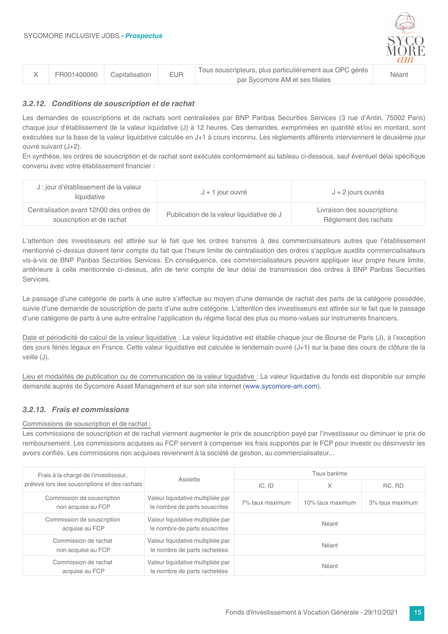

|  | FR0014000II0 | <b>EUR</b><br>Capitalisation | Tous souscripteurs, plus particulièrement aux OPC gérés | Néant |
|--|--------------|------------------------------|---------------------------------------------------------|-------|
|  |              |                              | par Sycomore AM et ses filiales                         |       |

#### 3.2.12. Conditions de souscription et de rachat

Les demandes de souscriptions et de rachats sont centralisées par BNP Paribas Securities Services (3 rue d'Antin, 75002 Paris) chaque jour d'établissement de la valeur liquidative (J) à 12 heures. Ces demandes, exmprimées en quantité et/ou en montant, sont exécutées sur la base de la valeur liquidative calculée en J+1 à cours inconnu. Les règlements afférents interviennent le deuxième jour ouvré suivant (J+2).

En synthèse, les ordres de souscription et de rachat sont exécutés conformément au tableau ci-dessous, sauf éventuel délai spécifique convenu avec votre établissement financier :

| J: jour d'établissement de la valeur<br>liquidative                   | J + 1 jour ouvré                          | $J + 2$ jours ouvrés                                 |  |  |
|-----------------------------------------------------------------------|-------------------------------------------|------------------------------------------------------|--|--|
| Centralisation avant 12h00 des ordres de<br>souscription et de rachat | Publication de la valeur liquidative de J | Livraison des souscriptions<br>Règlement des rachats |  |  |

L'attention des investisseurs est attirée sur le fait que les ordres transmis à des commercialisateurs autres que l'établissement mentionné ci-dessus doivent tenir compte du fait que l'heure limite de centralisation des ordres s'applique auxdits commercialisateurs vis-à-vis de BNP Paribas Securities Services. En conséquence, ces commercialisateurs peuvent appliquer leur propre heure limite, antérieure à celle mentionnée ci-dessus, afin de tenir compte de leur délai de transmission des ordres à BNP Paribas Securities Services.

Le passage d'une catégorie de parts à une autre s'effectue au moyen d'une demande de rachat des parts de la catégorie possédée, suivie d'une demande de souscription de parts d'une autre catégorie. L'attention des investisseurs est attirée sur le fait que le passage d'une catégorie de parts à une autre entraîne l'application du régime fiscal des plus ou moins-values sur instruments financiers.

Date et périodicité de calcul de la valeur liquidative : La valeur liquidative est établie chaque jour de Bourse de Paris (J), à l'exception des jours fériés légaux en France. Cette valeur liquidative est calculée le lendemain ouvré (J+1) sur la base des cours de clôture de la veille (J).

Lieu et modalités de publication ou de communication de la valeur liquidative : La valeur liquidative du fonds est disponible sur simple demande auprès de Sycomore Asset Management et sur son site internet (www.sycomore-am.com).

#### 3.2.13. Frais et commissions

#### Commissions de souscription et de rachat :

Les commissions de souscription et de rachat viennent augmenter le prix de souscription pavé par l'investisseur ou diminuer le prix de remboursement. Les commissions acquises au FCP servent à compenser les frais supportés par le FCP pour investir ou désinvestir les avoirs confiés. Les commissions non acquises reviennent à la société de gestion, au commercialisateur...

| Frais à la charge de l'investisseur,             |                                                                    | Taux barème                         |   |                 |  |
|--------------------------------------------------|--------------------------------------------------------------------|-------------------------------------|---|-----------------|--|
| prélevé lors des souscriptions et des rachats    | Assiette                                                           | $IC.$ ID                            | X | RC. RD          |  |
| Commission de souscription<br>non acquise au FCP | Valeur liquidative multipliée par<br>le nombre de parts souscrites | 10% taux maximum<br>7% taux maximum |   | 3% taux maximum |  |
| Commission de souscription<br>acquise au FCP     | Valeur liquidative multipliée par<br>le nombre de parts souscrites | Néant                               |   |                 |  |
| Commission de rachat<br>non acquise au FCP       | Valeur liquidative multipliée par<br>le nombre de parts rachetées  | Néant                               |   |                 |  |
| Commission de rachat<br>acquise au FCP           | Valeur liquidative multipliée par<br>le nombre de parts rachetées  | Néant                               |   |                 |  |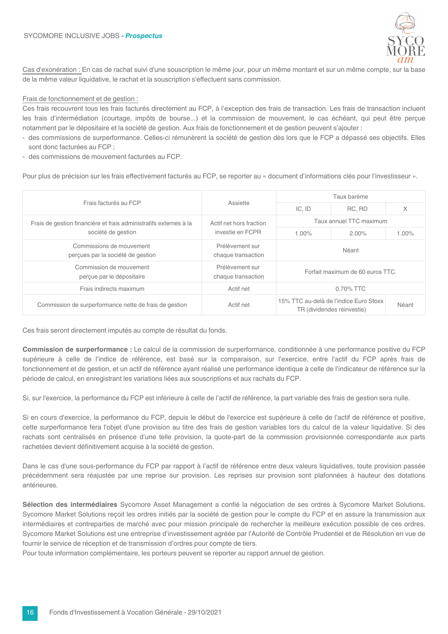

Cas d'exonération : En cas de rachat suivi d'une souscription le même jour, pour un même montant et sur un même compte, sur la base de la même valeur liquidative, le rachat et la souscription s'effectuent sans commission.

#### Frais de fonctionnement et de gestion :

Ces frais recouvrent tous les frais facturés directement au FCP, à l'exception des frais de transaction. Les frais de transaction incluent les frais d'intermédiation (courtage, impôts de bourse...) et la commission de mouvement, le cas échéant, qui peut être perçue notamment par le dépositaire et la société de gestion. Aux frais de fonctionnement et de gestion peuvent s'ajouter :

- des commissions de surperformance. Celles-ci rémunèrent la société de gestion dès lors que le FCP a dépassé ses objectifs. Elles sont donc facturées au FCP :
- des commissions de mouvement facturées au FCP.

Pour plus de précision sur les frais effectivement facturés au FCP, se reporter au « document d'informations clés pour l'investisseur ».

|                                                                   |                                             | Taux barème                      |                                                                      |          |
|-------------------------------------------------------------------|---------------------------------------------|----------------------------------|----------------------------------------------------------------------|----------|
| Frais facturés au FCP                                             | Assiette                                    | IC, ID                           | RC. RD                                                               | X        |
| Frais de gestion financière et frais administratifs externes à la | Actif net hors fraction<br>investie en FCPR | Taux annuel TTC maximum          |                                                                      |          |
| société de gestion                                                |                                             | 1.00%                            | $2.00\%$                                                             | $1.00\%$ |
| Commissions de mouvement<br>perçues par la société de gestion     | Prélèvement sur<br>chaque transaction       | Néant                            |                                                                      |          |
| Commission de mouvement<br>percue par le dépositaire              | Prélèvement sur<br>chaque transaction       | Forfait maximum de 60 euros TTC. |                                                                      |          |
| Frais indirects maximum                                           | Actif net                                   | $0.70\%$ TTC                     |                                                                      |          |
| Commission de surperformance nette de frais de gestion            | Actif net                                   |                                  | 15% TTC au-delà de l'indice Euro Stoxx<br>TR (dividendes réinvestis) | Néant    |

Ces frais seront directement imputés au compte de résultat du fonds.

Commission de surperformance : Le calcul de la commission de surperformance, conditionnée à une performance positive du FCP supérieure à celle de l'indice de référence, est basé sur la comparaison, sur l'exercice, entre l'actif du FCP après frais de fonctionnement et de gestion, et un actif de référence ayant réalisé une performance identique à celle de l'indicateur de référence sur la période de calcul, en enregistrant les variations liées aux souscriptions et aux rachats du FCP.

Si, sur l'exercice, la performance du FCP est inférieure à celle de l'actif de référence, la part variable des frais de gestion sera nulle.

Si en cours d'exercice, la performance du FCP, depuis le début de l'exercice est supérieure à celle de l'actif de référence et positive, cette surperformance fera l'objet d'une provision au titre des frais de gestion variables lors du calcul de la valeur liquidative. Si des rachats sont centralisés en présence d'une telle provision, la quote-part de la commission provisionnée correspondante aux parts rachetées devient définitivement acquise à la société de gestion.

Dans le cas d'une sous-performance du FCP par rapport à l'actif de référence entre deux valeurs liquidatives, toute provision passée précédemment sera réajustée par une reprise sur provision. Les reprises sur provision sont plafonnées à hauteur des dotations antérieures

Sélection des intermédiaires Sycomore Asset Management a confié la négociation de ses ordres à Sycomore Market Solutions. Sycomore Market Solutions reçoit les ordres initiés par la société de gestion pour le compte du FCP et en assure la transmission aux intermédiaires et contreparties de marché avec pour mission principale de rechercher la meilleure exécution possible de ces ordres. Sycomore Market Solutions est une entreprise d'investissement agréée par l'Autorité de Contrôle Prudentiel et de Résolution en vue de fournir le service de réception et de transmission d'ordres pour compte de tiers.

Pour toute information complémentaire, les porteurs peuvent se reporter au rapport annuel de gestion.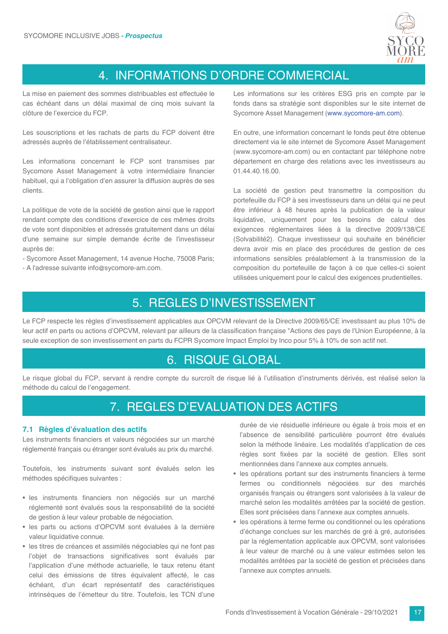

## 4. INFORMATIONS D'ORDRE COMMERCIAL

La mise en paiement des sommes distribuables est effectuée le cas échéant dans un délai maximal de cinq mois suivant la clôture de l'exercice du FCP.

Les souscriptions et les rachats de parts du FCP doivent être adressés auprès de l'établissement centralisateur.

Les informations concernant le FCP sont transmises par Sycomore Asset Management à votre intermédiaire financier habituel, qui a l'obligation d'en assurer la diffusion auprès de ses clients.

La politique de vote de la société de gestion ainsi que le rapport rendant compte des conditions d'exercice de ces mêmes droits de vote sont disponibles et adressés gratuitement dans un délai d'une semaine sur simple demande écrite de l'investisseur auprès de:

- Sycomore Asset Management, 14 avenue Hoche, 75008 Paris;

- A l'adresse suivante info@sycomore-am.com.

Les informations sur les critères ESG pris en compte par le fonds dans sa stratégie sont disponibles sur le site internet de Sycomore Asset Management (www.sycomore-am.com).

En outre, une information concernant le fonds peut être obtenue directement via le site internet de Sycomore Asset Management (www.sycomore-am.com) ou en contactant par téléphone notre département en charge des relations avec les investisseurs au 01.44.40.16.00.

La société de gestion peut transmettre la composition du portefeuille du FCP à ses investisseurs dans un délai qui ne peut être inférieur à 48 heures après la publication de la valeur liquidative, uniquement pour les besoins de calcul des exigences réglementaires liées à la directive 2009/138/CE (Solvabilité2). Chaque investisseur qui souhaite en bénéficier devra avoir mis en place des procédures de gestion de ces informations sensibles préalablement à la transmission de la composition du portefeuille de façon à ce que celles-ci soient utilisées uniquement pour le calcul des exigences prudentielles.

### 5. REGLES D'INVESTISSEMENT

Le FCP respecte les règles d'investissement applicables aux OPCVM relevant de la Directive 2009/65/CE investissant au plus 10% de leur actif en parts ou actions d'OPCVM, relevant par ailleurs de la classification française "Actions des pays de l'Union Européenne, à la seule exception de son investissement en parts du FCPR Sycomore Impact Emploi by Inco pour 5% à 10% de son actif net.

### 6. RISQUE GLOBAL

Le risque global du FCP, servant à rendre compte du surcroît de risque lié à l'utilisation d'instruments dérivés, est réalisé selon la méthode du calcul de l'engagement.

### 7. REGLES D'EVALUATION DES ACTIFS

#### 7.1 Règles d'évaluation des actifs

Les instruments financiers et valeurs négociées sur un marché réglementé français ou étranger sont évalués au prix du marché.

Toutefois, les instruments suivant sont évalués selon les méthodes spécifiques suivantes :

- · les instruments financiers non négociés sur un marché réglementé sont évalués sous la responsabilité de la société de gestion à leur valeur probable de négociation.
- · les parts ou actions d'OPCVM sont évaluées à la dernière valeur liquidative connue.
- · les titres de créances et assimilés négociables qui ne font pas l'objet de transactions significatives sont évalués par l'application d'une méthode actuarielle, le taux retenu étant celui des émissions de titres équivalent affecté. le cas échéant. d'un écart représentatif des caractéristiques intrinsèques de l'émetteur du titre. Toutefois, les TCN d'une

durée de vie résiduelle inférieure ou égale à trois mois et en l'absence de sensibilité particulière pourront être évalués selon la méthode linéaire. Les modalités d'application de ces règles sont fixées par la société de gestion. Elles sont mentionnées dans l'annexe aux comptes annuels.

- · les opérations portant sur des instruments financiers à terme fermes ou conditionnels négociées sur des marchés organisés francais ou étrangers sont valorisées à la valeur de marché selon les modalités arrêtées par la société de gestion. Elles sont précisées dans l'annexe aux comptes annuels.
- · les opérations à terme ferme ou conditionnel ou les opérations d'échange conclues sur les marchés de gré à gré, autorisées par la réglementation applicable aux OPCVM, sont valorisées à leur valeur de marché ou à une valeur estimées selon les modalités arrêtées par la société de gestion et précisées dans l'annexe aux comptes annuels.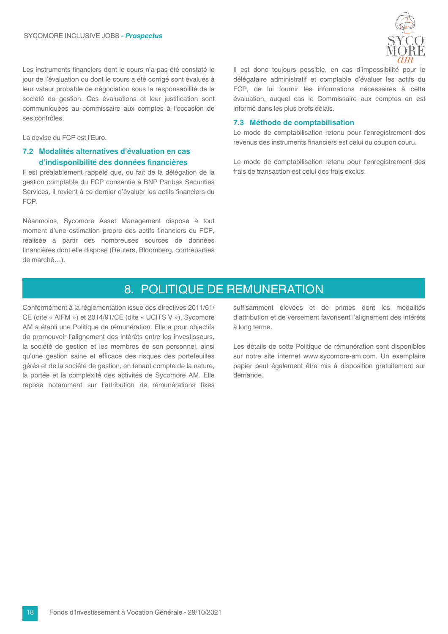

Les instruments financiers dont le cours n'a pas été constaté le jour de l'évaluation ou dont le cours a été corrigé sont évalués à leur valeur probable de négociation sous la responsabilité de la société de gestion. Ces évaluations et leur justification sont communiquées au commissaire aux comptes à l'occasion de ses contrôles.

La devise du FCP est l'Euro

#### 7.2 Modalités alternatives d'évaluation en cas d'indisponibilité des données financières

Il est préalablement rappelé que, du fait de la délégation de la gestion comptable du FCP consentie à BNP Paribas Securities Services, il revient à ce dernier d'évaluer les actifs financiers du FCP.

Néanmoins, Sycomore Asset Management dispose à tout moment d'une estimation propre des actifs financiers du FCP, réalisée à partir des nombreuses sources de données financières dont elle dispose (Reuters, Bloomberg, contreparties de marché...).

Il est donc toujours possible, en cas d'impossibilité pour le délégataire administratif et comptable d'évaluer les actifs du FCP, de lui fournir les informations nécessaires à cette évaluation, auquel cas le Commissaire aux comptes en est informé dans les plus brefs délais.

#### 7.3 Méthode de comptabilisation

Le mode de comptabilisation retenu pour l'enregistrement des revenus des instruments financiers est celui du coupon couru.

Le mode de comptabilisation retenu pour l'enregistrement des frais de transaction est celui des frais exclus.

## 8. POLITIQUE DE REMUNERATION

Conformément à la réglementation issue des directives 2011/61/ CE (dite « AIFM ») et 2014/91/CE (dite « UCITS V »), Sycomore AM a établi une Politique de rémunération. Elle a pour objectifs de promouvoir l'alignement des intérêts entre les investisseurs, la société de gestion et les membres de son personnel, ainsi qu'une gestion saine et efficace des risques des portefeuilles gérés et de la société de gestion, en tenant compte de la nature, la portée et la complexité des activités de Sycomore AM. Elle repose notamment sur l'attribution de rémunérations fixes

suffisamment élevées et de primes dont les modalités d'attribution et de versement favorisent l'alignement des intérêts à long terme.

Les détails de cette Politique de rémunération sont disponibles sur notre site internet www.sycomore-am.com. Un exemplaire papier peut également être mis à disposition gratuitement sur demande.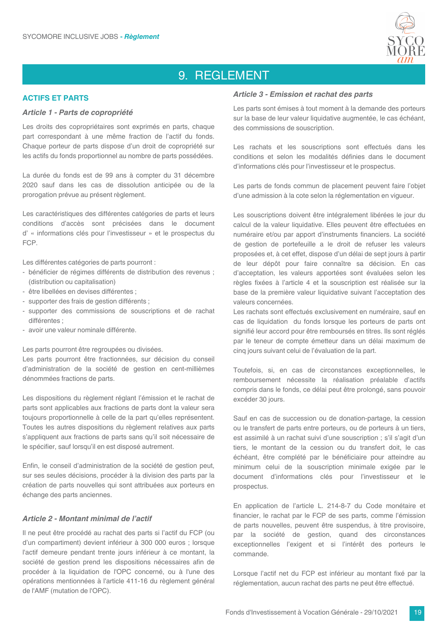

## 9. REGLEMENT

#### **ACTIES ET PARTS**

#### Article 1 - Parts de copropriété

Les droits des copropriétaires sont exprimés en parts, chaque part correspondant à une même fraction de l'actif du fonds. Chaque porteur de parts dispose d'un droit de copropriété sur les actifs du fonds proportionnel au nombre de parts possédées.

La durée du fonds est de 99 ans à compter du 31 décembre 2020 sauf dans les cas de dissolution anticipée ou de la prorogation prévue au présent règlement.

Les caractéristiques des différentes catégories de parts et leurs conditions d'accès sont précisées dans le document d' « informations clés pour l'investisseur » et le prospectus du FCP.

Les différentes catégories de parts pourront :

- bénéficier de régimes différents de distribution des revenus ; (distribution ou capitalisation)
- être libellées en devises différentes ;
- supporter des frais de gestion différents ;
- supporter des commissions de souscriptions et de rachat différentes :
- avoir une valeur nominale différente.

Les parts pourront être regroupées ou divisées.

Les parts pourront être fractionnées, sur décision du conseil d'administration de la société de gestion en cent-millièmes dénommées fractions de parts.

Les dispositions du règlement réglant l'émission et le rachat de parts sont applicables aux fractions de parts dont la valeur sera toujours proportionnelle à celle de la part qu'elles représentent. Toutes les autres dispositions du règlement relatives aux parts s'appliquent aux fractions de parts sans qu'il soit nécessaire de le spécifier, sauf lorsqu'il en est disposé autrement.

Enfin, le conseil d'administration de la société de gestion peut, sur ses seules décisions, procéder à la division des parts par la création de parts nouvelles qui sont attribuées aux porteurs en échange des parts anciennes.

#### Article 2 - Montant minimal de l'actif

Il ne peut être procédé au rachat des parts si l'actif du FCP (ou d'un compartiment) devient inférieur à 300 000 euros ; lorsque l'actif demeure pendant trente jours inférieur à ce montant. la société de gestion prend les dispositions nécessaires afin de procéder à la liquidation de l'OPC concerné, ou à l'une des opérations mentionnées à l'article 411-16 du règlement général de l'AMF (mutation de l'OPC).

#### Article 3 - Emission et rachat des parts

Les parts sont émises à tout moment à la demande des porteurs sur la base de leur valeur liquidative augmentée, le cas échéant, des commissions de souscription.

Les rachats et les souscriptions sont effectués dans les conditions et selon les modalités définies dans le document d'informations clés pour l'investisseur et le prospectus.

Les parts de fonds commun de placement peuvent faire l'objet d'une admission à la cote selon la réglementation en vigueur.

Les souscriptions doivent être intégralement libérées le jour du calcul de la valeur liquidative. Elles peuvent être effectuées en numéraire et/ou par apport d'instruments financiers. La société de gestion de portefeuille a le droit de refuser les valeurs proposées et, à cet effet, dispose d'un délai de sept jours à partir de leur dépôt pour faire connaître sa décision. En cas d'acceptation, les valeurs apportées sont évaluées selon les règles fixées à l'article 4 et la souscription est réalisée sur la base de la première valeur liquidative suivant l'acceptation des valeurs concernées.

Les rachats sont effectués exclusivement en numéraire, sauf en cas de liquidation du fonds lorsque les porteurs de parts ont signifié leur accord pour être remboursés en titres. Ils sont réglés par le teneur de compte émetteur dans un délai maximum de cinq jours suivant celui de l'évaluation de la part.

Toutefois, si, en cas de circonstances exceptionnelles, le remboursement nécessite la réalisation préalable d'actifs compris dans le fonds, ce délai peut être prolongé, sans pouvoir excéder 30 jours.

Sauf en cas de succession ou de donation-partage, la cession ou le transfert de parts entre porteurs, ou de porteurs à un tiers, est assimilé à un rachat suivi d'une souscription ; s'il s'agit d'un tiers, le montant de la cession ou du transfert doit, le cas échéant, être complété par le bénéficiaire pour atteindre au minimum celui de la souscription minimale exigée par le document d'informations clés pour l'investisseur et le prospectus.

En application de l'article L. 214-8-7 du Code monétaire et financier, le rachat par le FCP de ses parts, comme l'émission de parts nouvelles, peuvent être suspendus, à titre provisoire, par la société de gestion, quand des circonstances exceptionnelles l'exigent et si l'intérêt des porteurs le commande.

Lorsque l'actif net du FCP est inférieur au montant fixé par la réglementation, aucun rachat des parts ne peut être effectué.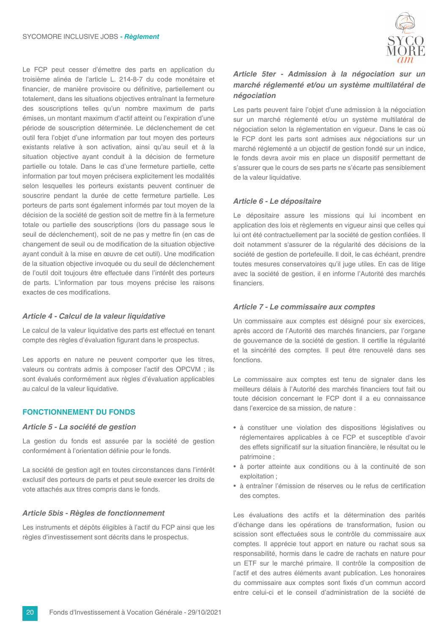Le FCP peut cesser d'émettre des parts en application du troisième alinéa de l'article L. 214-8-7 du code monétaire et financier, de manière provisoire ou définitive, partiellement ou totalement, dans les situations objectives entraînant la fermeture des souscriptions telles qu'un nombre maximum de parts émises, un montant maximum d'actif atteint ou l'expiration d'une période de souscription déterminée. Le déclenchement de cet outil fera l'objet d'une information par tout moyen des porteurs existants relative à son activation, ainsi qu'au seuil et à la situation objective avant conduit à la décision de fermeture partielle ou totale. Dans le cas d'une fermeture partielle, cette information par tout moyen précisera explicitement les modalités selon lesquelles les porteurs existants peuvent continuer de souscrire pendant la durée de cette fermeture partielle. Les porteurs de parts sont également informés par tout moyen de la décision de la société de gestion soit de mettre fin à la fermeture totale ou partielle des souscriptions (lors du passage sous le seuil de déclenchement), soit de ne pas y mettre fin (en cas de changement de seuil ou de modification de la situation objective avant conduit à la mise en œuvre de cet outil). Une modification de la situation objective invoquée ou du seuil de déclenchement de l'outil doit toujours être effectuée dans l'intérêt des porteurs de parts. L'information par tous moyens précise les raisons exactes de ces modifications.

#### Article 4 - Calcul de la valeur liquidative

Le calcul de la valeur liquidative des parts est effectué en tenant compte des règles d'évaluation figurant dans le prospectus.

Les apports en nature ne peuvent comporter que les titres, valeurs ou contrats admis à composer l'actif des OPCVM ; ils sont évalués conformément aux règles d'évaluation applicables au calcul de la valeur liquidative.

#### **FONCTIONNEMENT DU FONDS**

#### Article 5 - La société de gestion

La gestion du fonds est assurée par la société de gestion conformément à l'orientation définie pour le fonds.

La société de gestion agit en toutes circonstances dans l'intérêt exclusif des porteurs de parts et peut seule exercer les droits de vote attachés aux titres compris dans le fonds.

#### Article 5bis - Règles de fonctionnement

Les instruments et dépôts éligibles à l'actif du FCP ainsi que les règles d'investissement sont décrits dans le prospectus.



### Article 5ter - Admission à la négociation sur un marché réglementé et/ou un système multilatéral de négociation

Les parts peuvent faire l'objet d'une admission à la négociation sur un marché réglementé et/ou un système multilatéral de négociation selon la réglementation en vigueur. Dans le cas où le FCP dont les parts sont admises aux négociations sur un marché réglementé a un objectif de gestion fondé sur un indice. le fonds devra avoir mis en place un dispositif permettant de s'assurer que le cours de ses parts ne s'écarte pas sensiblement de la valeur liquidative.

#### Article 6 - Le dépositaire

Le dépositaire assure les missions qui lui incombent en application des lois et règlements en vigueur ainsi que celles qui lui ont été contractuellement par la société de gestion confiées. Il doit notamment s'assurer de la régularité des décisions de la société de gestion de portefeuille. Il doit, le cas échéant, prendre toutes mesures conservatoires qu'il juge utiles. En cas de litige avec la société de gestion, il en informe l'Autorité des marchés financiers.

#### Article 7 - Le commissaire aux comptes

Un commissaire aux comptes est désigné pour six exercices, après accord de l'Autorité des marchés financiers, par l'organe de gouvernance de la société de gestion. Il certifie la régularité et la sincérité des comptes. Il peut être renouvelé dans ses fonctions

Le commissaire aux comptes est tenu de signaler dans les meilleurs délais à l'Autorité des marchés financiers tout fait ou toute décision concernant le FCP dont il a eu connaissance dans l'exercice de sa mission, de nature :

- à constituer une violation des dispositions législatives ou réglementaires applicables à ce FCP et susceptible d'avoir des effets significatif sur la situation financière, le résultat ou le patrimoine:
- à porter atteinte aux conditions ou à la continuité de son exploitation:
- à entraîner l'émission de réserves ou le refus de certification des comptes.

Les évaluations des actifs et la détermination des parités d'échange dans les opérations de transformation, fusion ou scission sont effectuées sous le contrôle du commissaire aux comptes. Il apprécie tout apport en nature ou rachat sous sa responsabilité, hormis dans le cadre de rachats en nature pour un ETF sur le marché primaire. Il contrôle la composition de l'actif et des autres éléments avant publication. Les honoraires du commissaire aux comptes sont fixés d'un commun accord entre celui-ci et le conseil d'administration de la société de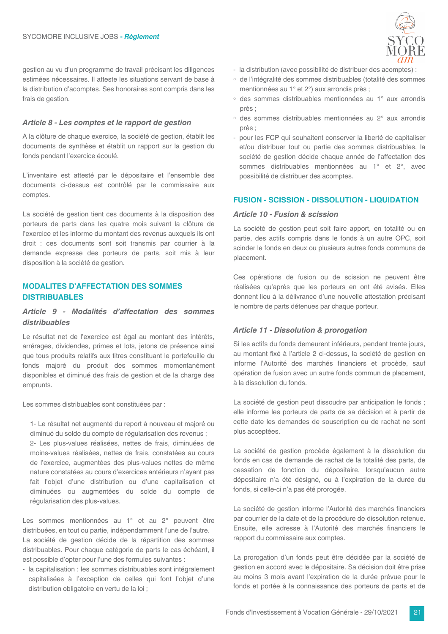gestion au vu d'un programme de travail précisant les diligences estimées nécessaires. Il atteste les situations servant de base à la distribution d'acomptes. Ses honoraires sont compris dans les frais de gestion.

#### Article 8 - Les comptes et le rapport de gestion

A la clôture de chaque exercice, la société de gestion, établit les documents de synthèse et établit un rapport sur la gestion du fonds pendant l'exercice écoulé.

L'inventaire est attesté par le dépositaire et l'ensemble des documents ci-dessus est contrôlé par le commissaire aux comptes.

La société de gestion tient ces documents à la disposition des porteurs de parts dans les quatre mois suivant la clôture de l'exercice et les informe du montant des revenus auxquels ils ont droit : ces documents sont soit transmis par courrier à la demande expresse des porteurs de parts, soit mis à leur disposition à la société de gestion.

#### **MODALITES D'AFFECTATION DES SOMMES DISTRIBUABLES**

#### Article 9 - Modalités d'affectation des sommes distribuables

Le résultat net de l'exercice est égal au montant des intérêts, arrérages, dividendes, primes et lots, jetons de présence ainsi que tous produits relatifs aux titres constituant le portefeuille du fonds majoré du produit des sommes momentanément disponibles et diminué des frais de gestion et de la charge des emprunts.

Les sommes distribuables sont constituées par :

1- Le résultat net augmenté du report à nouveau et majoré ou diminué du solde du compte de régularisation des revenus : 2- Les plus-values réalisées, nettes de frais, diminuées de moins-values réalisées, nettes de frais, constatées au cours de l'exercice, augmentées des plus-values nettes de même nature constatées au cours d'exercices antérieurs n'ayant pas fait l'objet d'une distribution ou d'une capitalisation et diminuées ou augmentées du solde du compte de régularisation des plus-values.

Les sommes mentionnées au 1° et au 2° peuvent être distribuées, en tout ou partie, indépendamment l'une de l'autre. La société de gestion décide de la répartition des sommes distribuables. Pour chaque catégorie de parts le cas échéant, il est possible d'opter pour l'une des formules suivantes :

- la capitalisation : les sommes distribuables sont intégralement capitalisées à l'exception de celles qui font l'objet d'une distribution obligatoire en vertu de la loi ;



- la distribution (avec possibilité de distribuer des acomptes) :
- de l'intégralité des sommes distribuables (totalité des sommes mentionnées au 1° et 2°) aux arrondis près :
- o des sommes distribuables mentionnées au 1° aux arrondis près :
- o des sommes distribuables mentionnées au 2° aux arrondis près ;
- pour les FCP qui souhaitent conserver la liberté de capitaliser et/ou distribuer tout ou partie des sommes distribuables, la société de gestion décide chaque année de l'affectation des sommes distribuables mentionnées au 1° et 2°, avec possibilité de distribuer des acomptes.

#### **FUSION - SCISSION - DISSOLUTION - LIQUIDATION**

#### Article 10 - Fusion & scission

La société de gestion peut soit faire apport, en totalité ou en partie, des actifs compris dans le fonds à un autre OPC, soit scinder le fonds en deux ou plusieurs autres fonds communs de placement.

Ces opérations de fusion ou de scission ne peuvent être réalisées qu'après que les porteurs en ont été avisés. Elles donnent lieu à la délivrance d'une nouvelle attestation précisant le nombre de parts détenues par chaque porteur.

#### **Article 11 - Dissolution & prorogation**

Si les actifs du fonds demeurent inférieurs, pendant trente jours, au montant fixé à l'article 2 ci-dessus, la société de gestion en informe l'Autorité des marchés financiers et procède, sauf opération de fusion avec un autre fonds commun de placement, à la dissolution du fonds.

La société de gestion peut dissoudre par anticipation le fonds ; elle informe les porteurs de parts de sa décision et à partir de cette date les demandes de souscription ou de rachat ne sont plus acceptées.

La société de gestion procède également à la dissolution du fonds en cas de demande de rachat de la totalité des parts, de cessation de fonction du dépositaire, lorsqu'aucun autre dépositaire n'a été désigné, ou à l'expiration de la durée du fonds, si celle-ci n'a pas été prorogée.

La société de gestion informe l'Autorité des marchés financiers par courrier de la date et de la procédure de dissolution retenue. Ensuite, elle adresse à l'Autorité des marchés financiers le rapport du commissaire aux comptes.

La prorogation d'un fonds peut être décidée par la société de gestion en accord avec le dépositaire. Sa décision doit être prise au moins 3 mois avant l'expiration de la durée prévue pour le fonds et portée à la connaissance des porteurs de parts et de